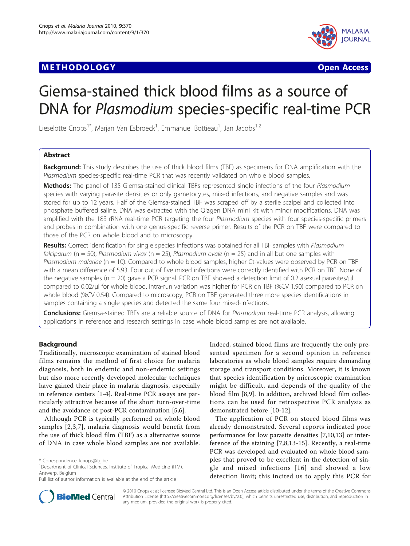## **METHODOLOGY CONSUMING ACCESS**



# Giemsa-stained thick blood films as a source of DNA for Plasmodium species-specific real-time PCR

Lieselotte Cnops<sup>1\*</sup>, Marjan Van Esbroeck<sup>1</sup>, Emmanuel Bottieau<sup>1</sup>, Jan Jacobs<sup>1,2</sup>

## Abstract

**Background:** This study describes the use of thick blood films (TBF) as specimens for DNA amplification with the Plasmodium species-specific real-time PCR that was recently validated on whole blood samples.

Methods: The panel of 135 Giemsa-stained clinical TBFs represented single infections of the four Plasmodium species with varying parasite densities or only gametocytes, mixed infections, and negative samples and was stored for up to 12 years. Half of the Giemsa-stained TBF was scraped off by a sterile scalpel and collected into phosphate buffered saline. DNA was extracted with the Qiagen DNA mini kit with minor modifications. DNA was amplified with the 18S rRNA real-time PCR targeting the four Plasmodium species with four species-specific primers and probes in combination with one genus-specific reverse primer. Results of the PCR on TBF were compared to those of the PCR on whole blood and to microscopy.

Results: Correct identification for single species infections was obtained for all TBF samples with Plasmodium falciparum (n = 50), Plasmodium vivax (n = 25), Plasmodium ovale (n = 25) and in all but one samples with Plasmodium malariae (n = 10). Compared to whole blood samples, higher Ct-values were observed by PCR on TBF with a mean difference of 5.93. Four out of five mixed infections were correctly identified with PCR on TBF. None of the negative samples (n = 20) gave a PCR signal. PCR on TBF showed a detection limit of 0.2 asexual parasites/μl compared to 0.02/μl for whole blood. Intra-run variation was higher for PCR on TBF (%CV 1.90) compared to PCR on whole blood (%CV 0.54). Compared to microscopy, PCR on TBF generated three more species identifications in samples containing a single species and detected the same four mixed-infections.

Conclusions: Giemsa-stained TBFs are a reliable source of DNA for Plasmodium real-time PCR analysis, allowing applications in reference and research settings in case whole blood samples are not available.

## Background

Traditionally, microscopic examination of stained blood films remains the method of first choice for malaria diagnosis, both in endemic and non-endemic settings but also more recently developed molecular techniques have gained their place in malaria diagnosis, especially in reference centers [\[1](#page-5-0)-[4\]](#page-5-0). Real-time PCR assays are particularly attractive because of the short turn-over-time and the avoidance of post-PCR contamination [\[5,6\]](#page-5-0).

Although PCR is typically performed on whole blood samples [[2,3,7](#page-5-0)], malaria diagnosis would benefit from the use of thick blood film (TBF) as a alternative source of DNA in case whole blood samples are not available.

Indeed, stained blood films are frequently the only presented specimen for a second opinion in reference laboratories as whole blood samples require demanding storage and transport conditions. Moreover, it is known that species identification by microscopic examination might be difficult, and depends of the quality of the blood film [\[8,9](#page-5-0)]. In addition, archived blood film collections can be used for retrospective PCR analysis as demonstrated before [[10](#page-6-0)-[12\]](#page-6-0).

The application of PCR on stored blood films was already demonstrated. Several reports indicated poor performance for low parasite densities [[7](#page-5-0),[10](#page-6-0),[13](#page-6-0)] or interference of the staining [\[7](#page-5-0),[8,](#page-5-0)[13-15](#page-6-0)]. Recently, a real-time PCR was developed and evaluated on whole blood samples that proved to be excellent in the detection of single and mixed infections [[16\]](#page-6-0) and showed a low detection limit; this incited us to apply this PCR for



© 2010 Cnops et al; licensee BioMed Central Ltd. This is an Open Access article distributed under the terms of the Creative Commons Attribution License [\(http://creativecommons.org/licenses/by/2.0](http://creativecommons.org/licenses/by/2.0)), which permits unrestricted use, distribution, and reproduction in any medium, provided the original work is properly cited.

<sup>\*</sup> Correspondence: [lcnops@itg.be](mailto:lcnops@itg.be)

<sup>&</sup>lt;sup>1</sup>Department of Clinical Sciences, Institute of Tropical Medicine (ITM), Antwerp, Belgium

Full list of author information is available at the end of the article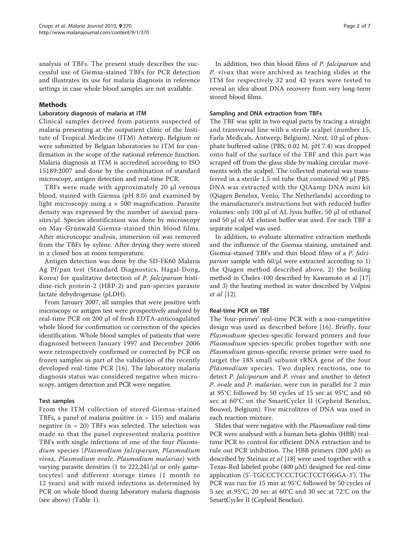analysis of TBFs. The present study describes the successful use of Giemsa-stained TBFs for PCR detection and illustrates its use for malaria diagnosis in reference settings in case whole blood samples are not available.

## **Methods**

## Laboratory diagnosis of malaria at ITM

Clinical samples derived from patients suspected of malaria presenting at the outpatient clinic of the Institute of Tropical Medicine (ITM) Antwerp, Belgium or were submitted by Belgian laboratories to ITM for confirmation in the scope of the national reference function. Malaria diagnosis at ITM is accredited according to ISO 15189:2007 and done by the combination of standard microscopy, antigen detection and real-time PCR.

TBFs were made with approximately 20 μl venous blood, stained with Giemsa (pH 8.0) and examined by light microscopy using a  $\times$  500 magnification. Parasite density was expressed by the number of asexual parasites/μl. Species identification was done by microscopy on May-Grünwald Giemsa-stained thin blood films. After microscopic analysis, immersion oil was removed from the TBFs by xylene. After drying they were stored in a closed box at room temperature.

Antigen detection was done by the SD-FK60 Malaria Ag Pf/pan test (Standard Diagnostics, Hagal-Dong, Korea) for qualitative detection of P. falciparum histidine-rich protein-2 (HRP-2) and pan-species parasite lactate dehydrogenase (pLDH).

From January 2007, all samples that were positive with microscopy or antigen test were prospectively analyzed by real-time PCR on 200 μl of fresh EDTA-anticoagulated whole blood for confirmation or correction of the species identification. Whole blood samples of patients that were diagnosed between January 1997 and December 2006 were retrospectively confirmed or corrected by PCR on frozen samples as part of the validation of the recently developed real-time PCR [[16\]](#page-6-0). The laboratory malaria diagnosis status was considered negative when microscopy, antigen detection and PCR were negative.

## Test samples

From the ITM collection of stored Giemsa-stained TBFs, a panel of malaria positive  $(n = 115)$  and malaria negative ( $n = 20$ ) TBFs was selected. The selection was made so that the panel represented malaria positive TBFs with single infections of one of the four Plasmodium species (Plasmodium falciparum, Plasmodium vivax, Plasmodium ovale, Plasmodium malariae) with varying parasite densities (1 to 222,241/μl or only gametocytes) and different storage times (1 month to 12 years) and with mixed infections as determined by PCR on whole blood during laboratory malaria diagnosis (see above) (Table [1\)](#page-2-0).

In addition, two thin blood films of P. falciparum and P. vivax that were archived as teaching slides at the ITM for respectively 32 and 42 years were tested to reveal an idea about DNA recovery from very long-term

## Sampling and DNA extraction from TBFs

stored blood films.

The TBF was split in two equal parts by tracing a straight and transversal line with a sterile scalpel (number 15, Farla Medicals, Antwerp, Belgium). Next, 10 μl of phosphate buffered saline (PBS; 0.02 M, pH 7.4) was dropped onto half of the surface of the TBF and this part was scraped off from the glass slide by making circular movements with the scalpel. The collected material was transferred in a sterile 1.5 ml tube that contained 90 μl PBS. DNA was extracted with the QIAamp DNA mini kit (Qiagen Benelux, Venlo, The Netherlands) according to the manufacturer's instructions but with reduced buffer volumes: only 100 μl of AL lysis buffer, 50 μl of ethanol and 50 μl of AE elution buffer was used. For each TBF a separate scalpel was used.

In addition, to evaluate alternative extraction methods and the influence of the Giemsa staining, unstained and Giemsa-stained TBFs and thin blood films of a P. falci*parum* sample with  $60/\mu$  were extracted according to 1) the Qiagen method described above, 2) the boiling method in Chelex-100 described by Kawamoto et al [[17](#page-6-0)] and 3) the heating method in water described by Volpini et al [\[12](#page-6-0)].

## Real-time PCR on TBF

The 'four-primer' real-time PCR with a non-competitive design was used as described before [[16](#page-6-0)]. Briefly, four Plasmodium species-specific forward primers and four Plasmodium species-specific probes together with one Plasmodium genus-specific reverse primer were used to target the 18S small subunit rRNA gene of the four Plasmodium species. Two duplex reactions, one to detect P. falciparum and P. vivax and another to detect P. ovale and P. malariae, were run in parallel for 2 min at 95°C followed by 50 cycles of 15 sec at 95°C and 60 sec at 60°C on the SmartCycler II (Cepheid Benelux, Bouwel, Belgium). Five microlitres of DNA was used in each reaction mixture.

Slides that were negative with the Plasmodium real-time PCR were analysed with a human beta-globin (HBB) realtime PCR to control for efficient DNA extraction and to rule out PCR inhibition. The HBB primers (200 μM) as described by Steinau et al [[18](#page-6-0)] were used together with a Texas-Red labeled probe (400 μM) designed for real-time application (5'-TGCCCTCCCTGCTCCTGGGA-3'). The PCR was run for 15 min at 95°C followed by 50 cycles of 5 sec at 95°C, 20 sec at 60°C and 30 sec at 72°C on the SmartCycler II (Cepheid Benelux).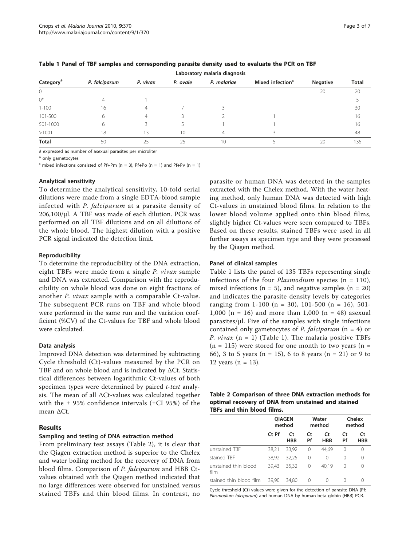|                       | Laboratory malaria diagnosis |          |          |             |                              |                 |       |  |  |
|-----------------------|------------------------------|----------|----------|-------------|------------------------------|-----------------|-------|--|--|
| Category <sup>"</sup> | P. falciparum                | P. vivax | P. ovale | P. malariae | Mixed infection <sup>o</sup> | <b>Negative</b> | Total |  |  |
| 0                     |                              |          |          |             |                              | 20              | 20    |  |  |
| $()^*$                | 4                            |          |          |             |                              |                 |       |  |  |
| $1 - 100$             | 16                           | 4        |          |             |                              |                 | 30    |  |  |
| 101-500               | 6                            |          |          |             |                              |                 | 16    |  |  |
| 501-1000              | 6                            |          |          |             |                              |                 | 16    |  |  |
| >1001                 | 18                           | 13       | 10       | 4           |                              |                 | 48    |  |  |
| <b>Total</b>          | 50                           | 25       | 25       | 10          |                              | 20              | 135   |  |  |

<span id="page-2-0"></span>Table 1 Panel of TBF samples and corresponding parasite density used to evaluate the PCR on TBF

# expressed as number of asexual parasites per microliter

\* only gametocytes

 $\degree$  mixed infections consisted of Pf+Pm (n = 3), Pf+Po (n = 1) and Pf+Pv (n = 1)

## Analytical sensitivity

To determine the analytical sensitivity, 10-fold serial dilutions were made from a single EDTA-blood sample infected with P. falciparum at a parasite density of  $206,100/\mu$ l. A TBF was made of each dilution. PCR was performed on all TBF dilutions and on all dilutions of the whole blood. The highest dilution with a positive PCR signal indicated the detection limit.

## Reproducibility

To determine the reproducibility of the DNA extraction, eight TBFs were made from a single P. vivax sample and DNA was extracted. Comparison with the reproducibility on whole blood was done on eight fractions of another P. vivax sample with a comparable Ct-value. The subsequent PCR runs on TBF and whole blood were performed in the same run and the variation coefficient (%CV) of the Ct-values for TBF and whole blood were calculated.

## Data analysis

Improved DNA detection was determined by subtracting Cycle threshold (Ct)-values measured by the PCR on TBF and on whole blood and is indicated by ΔCt. Statistical differences between logarithmic Ct-values of both specimen types were determined by paired t-test analysis. The mean of all ΔCt-values was calculated together with the  $\pm$  95% confidence intervals ( $\pm$ CI 95%) of the mean ΔCt.

## Results

## Sampling and testing of DNA extraction method

From preliminary test assays (Table 2), it is clear that the Qiagen extraction method is superior to the Chelex and water boiling method for the recovery of DNA from blood films. Comparison of P. falciparum and HBB Ctvalues obtained with the Qiagen method indicated that no large differences were observed for unstained versus stained TBFs and thin blood films. In contrast, no

parasite or human DNA was detected in the samples extracted with the Chelex method. With the water heating method, only human DNA was detected with high Ct-values in unstained blood films. In relation to the lower blood volume applied onto thin blood films, slightly higher Ct-values were seen compared to TBFs. Based on these results, stained TBFs were used in all further assays as specimen type and they were processed by the Qiagen method.

#### Panel of clinical samples

Table 1 lists the panel of 135 TBFs representing single infections of the four *Plasmodium* species  $(n = 110)$ , mixed infections ( $n = 5$ ), and negative samples ( $n = 20$ ) and indicates the parasite density levels by categories ranging from 1-100 (n = 30), 101-500 (n = 16), 501- 1,000 (n = 16) and more than 1,000 (n = 48) asexual parasites/μl. Five of the samples with single infections contained only gametocytes of *P. falciparum*  $(n = 4)$  or *P. vivax*  $(n = 1)$  (Table 1). The malaria positive TBFs  $(n = 115)$  were stored for one month to two years  $(n = 115)$ 66), 3 to 5 years (n = 15), 6 to 8 years (n = 21) or 9 to 12 years ( $n = 13$ ).

| Table 2 Comparison of three DNA extraction methods for |
|--------------------------------------------------------|
| optimal recovery of DNA from unstained and stained     |
| TBFs and thin blood films.                             |

|                              | <b>OIAGEN</b><br>method |                  | Water<br>method |                  | Chelex<br>method |                  |
|------------------------------|-------------------------|------------------|-----------------|------------------|------------------|------------------|
|                              | Ct Pf                   | Ct<br><b>HBB</b> | Ct<br>Pf        | Ct<br><b>HBB</b> | Ct<br>Pf         | Ct<br><b>HBB</b> |
| unstained TBF                | 38,21                   | 33,92            | 0               | 44.69            | 0                | 0                |
| stained TBF                  | 38.92                   | 32.25            | $\Omega$        | 0                | 0                | 0                |
| unstained thin blood<br>film | 39.43                   | 35.32            | $\mathbf{0}$    | 40.19            | 0                | 0                |
| stained thin blood film      | 39.90                   | 34.80            | 0               | $^{()}$          | 0                | 0                |

Cycle threshold (Ct)-values were given for the detection of parasite DNA (Pf: Plasmodium falciparum) and human DNA by human beta globin (HBB) PCR.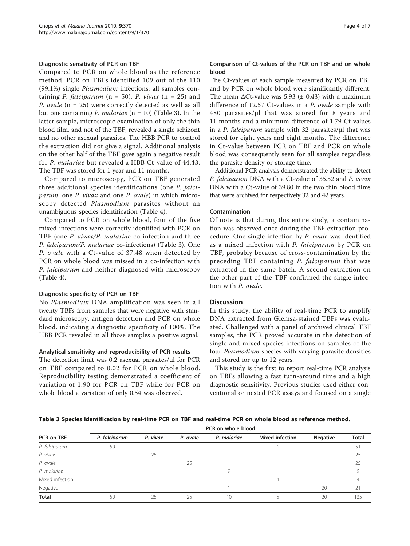## Diagnostic sensitivity of PCR on TBF

Compared to PCR on whole blood as the reference method, PCR on TBFs identified 109 out of the 110 (99.1%) single Plasmodium infections: all samples containing P. falciparum ( $n = 50$ ), P. vivax ( $n = 25$ ) and P. ovale (n = 25) were correctly detected as well as all but one containing *P. malariae* ( $n = 10$ ) (Table 3). In the latter sample, microscopic examination of only the thin blood film, and not of the TBF, revealed a single schizont and no other asexual parasites. The HBB PCR to control the extraction did not give a signal. Additional analysis on the other half of the TBF gave again a negative result for P. malariae but revealed a HBB Ct-value of 44.43. The TBF was stored for 1 year and 11 months.

Compared to microscopy, PCR on TBF generated three additional species identifications (one P. falciparum, one P. vivax and one P. ovale) in which microscopy detected Plasmodium parasites without an unambiguous species identification (Table [4](#page-4-0)).

Compared to PCR on whole blood, four of the five mixed-infections were correctly identified with PCR on TBF (one P. vivax/P. malariae co-infection and three P. falciparum/P. malariae co-infections) (Table 3). One P. ovale with a Ct-value of 37.48 when detected by PCR on whole blood was missed in a co-infection with P. falciparum and neither diagnosed with microscopy (Table [4\)](#page-4-0).

## Diagnostic specificity of PCR on TBF

No Plasmodium DNA amplification was seen in all twenty TBFs from samples that were negative with standard microscopy, antigen detection and PCR on whole blood, indicating a diagnostic specificity of 100%. The HBB PCR revealed in all those samples a positive signal.

#### Analytical sensitivity and reproducibility of PCR results

The detection limit was 0.2 asexual parasites/μl for PCR on TBF compared to 0.02 for PCR on whole blood. Reproducibility testing demonstrated a coefficient of variation of 1.90 for PCR on TBF while for PCR on whole blood a variation of only 0.54 was observed.

## Comparison of Ct-values of the PCR on TBF and on whole blood

The Ct-values of each sample measured by PCR on TBF and by PCR on whole blood were significantly different. The mean  $\Delta$ Ct-value was 5.93 ( $\pm$  0.43) with a maximum difference of 12.57 Ct-values in a P. ovale sample with 480 parasites/μl that was stored for 8 years and 11 months and a minimum difference of 1.79 Ct-values in a *P. falciparum* sample with 32 parasites/ $\mu$ l that was stored for eight years and eight months. The difference in Ct-value between PCR on TBF and PCR on whole blood was consequently seen for all samples regardless the parasite density or storage time.

Additional PCR analysis demonstrated the ability to detect P. falciparum DNA with a Ct-value of 35.32 and P. vivax DNA with a Ct-value of 39.80 in the two thin blood films that were archived for respectively 32 and 42 years.

## Contamination

Of note is that during this entire study, a contamination was observed once during the TBF extraction procedure. One single infection by P. ovale was identified as a mixed infection with P. falciparum by PCR on TBF, probably because of cross-contamination by the preceding TBF containing P. falciparum that was extracted in the same batch. A second extraction on the other part of the TBF confirmed the single infection with P. ovale.

## **Discussion**

In this study, the ability of real-time PCR to amplify DNA extracted from Giemsa-stained TBFs was evaluated. Challenged with a panel of archived clinical TBF samples, the PCR proved accurate in the detection of single and mixed species infections on samples of the four Plasmodium species with varying parasite densities and stored for up to 12 years.

This study is the first to report real-time PCR analysis on TBFs allowing a fast turn-around time and a high diagnostic sensitivity. Previous studies used either conventional or nested PCR assays and focused on a single

#### Table 3 Species identification by real-time PCR on TBF and real-time PCR on whole blood as reference method.

| PCR on TBF      | PCR on whole blood |          |          |             |                        |                 |              |  |  |  |
|-----------------|--------------------|----------|----------|-------------|------------------------|-----------------|--------------|--|--|--|
|                 | P. falciparum      | P. vivax | P. ovale | P. malariae | <b>Mixed infection</b> | <b>Negative</b> | <b>Total</b> |  |  |  |
| P. falciparum   | 50                 |          |          |             |                        |                 | 51           |  |  |  |
| P. vivax        |                    | 25       |          |             |                        |                 | 25           |  |  |  |
| P. ovale        |                    |          | 25       |             |                        |                 | 25           |  |  |  |
| P. malariae     |                    |          |          | 9           |                        |                 | 9            |  |  |  |
| Mixed infection |                    |          |          |             | 4                      |                 |              |  |  |  |
| Negative        |                    |          |          |             |                        | 20              | 21           |  |  |  |
| <b>Total</b>    | 50                 | 25       | 25       | 10          |                        | 20              | 135          |  |  |  |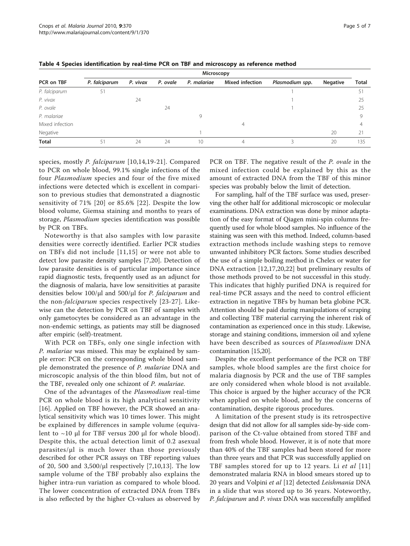|                 | <b>Microscopy</b> |          |          |             |                        |                 |                 |       |  |
|-----------------|-------------------|----------|----------|-------------|------------------------|-----------------|-----------------|-------|--|
| PCR on TBF      | P. falciparum     | P. vivax | P. ovale | P. malariae | <b>Mixed infection</b> | Plasmodium spp. | <b>Negative</b> | Total |  |
| P. falciparum   | 51                |          |          |             |                        |                 |                 | 5.    |  |
| P. vivax        |                   | 24       |          |             |                        |                 |                 | 25    |  |
| P. ovale        |                   |          | 24       |             |                        |                 |                 | 25    |  |
| P. malariae     |                   |          |          | 9           |                        |                 |                 | q     |  |
| Mixed infection |                   |          |          |             |                        |                 |                 | 4     |  |
| Negative        |                   |          |          |             |                        |                 | 20              | 21    |  |
| <b>Total</b>    | 51                | 24       | 24       | 10          |                        |                 | 20              | 135   |  |

<span id="page-4-0"></span>Table 4 Species identification by real-time PCR on TBF and microscopy as reference method

species, mostly P. falciparum [[10,14,19-21](#page-6-0)]. Compared to PCR on whole blood, 99.1% single infections of the four Plasmodium species and four of the five mixed infections were detected which is excellent in comparison to previous studies that demonstrated a diagnostic sensitivity of 71% [[20](#page-6-0)] or 85.6% [\[22\]](#page-6-0). Despite the low blood volume, Giemsa staining and months to years of storage, Plasmodium species identification was possible by PCR on TBFs.

Noteworthy is that also samples with low parasite densities were correctly identified. Earlier PCR studies on TBFs did not include [[11](#page-6-0),[15](#page-6-0)] or were not able to detect low parasite density samples [[7](#page-5-0)[,20](#page-6-0)]. Detection of low parasite densities is of particular importance since rapid diagnostic tests, frequently used as an adjunct for the diagnosis of malaria, have low sensitivities at parasite densities below 100/μl and 500/μl for P. falciparum and the non-falciparum species respectively [[23](#page-6-0)-[27](#page-6-0)]. Likewise can the detection by PCR on TBF of samples with only gametocytes be considered as an advantage in the non-endemic settings, as patients may still be diagnosed after empiric (self)-treatment.

With PCR on TBFs, only one single infection with P. malariae was missed. This may be explained by sample error: PCR on the corresponding whole blood sample demonstrated the presence of P. malariae DNA and microscopic analysis of the thin blood film, but not of the TBF, revealed only one schizont of P. malariae.

One of the advantages of the Plasmodium real-time PCR on whole blood is its high analytical sensitivity [[16\]](#page-6-0). Applied on TBF however, the PCR showed an analytical sensitivity which was 10 times lower. This might be explained by differences in sample volume (equivalent to  $~10$  μl for TBF versus 200 μl for whole blood). Despite this, the actual detection limit of 0.2 asexual parasites/μl is much lower than those previously described for other PCR assays on TBF reporting values of 20, 500 and 3,500/μl respectively [\[7](#page-5-0),[10,13](#page-6-0)]. The low sample volume of the TBF probably also explains the higher intra-run variation as compared to whole blood. The lower concentration of extracted DNA from TBFs is also reflected by the higher Ct-values as observed by PCR on TBF. The negative result of the *P. ovale* in the mixed infection could be explained by this as the amount of extracted DNA from the TBF of this minor species was probably below the limit of detection.

For sampling, half of the TBF surface was used, preserving the other half for additional microscopic or molecular examinations. DNA extraction was done by minor adaptation of the easy format of Qiagen mini-spin columns frequently used for whole blood samples. No influence of the staining was seen with this method. Indeed, column-based extraction methods include washing steps to remove unwanted inhibitory PCR factors. Some studies described the use of a simple boiling method in Chelex or water for DNA extraction [\[12](#page-6-0),[17,20,22](#page-6-0)] but preliminary results of those methods proved to be not successful in this study. This indicates that highly purified DNA is required for real-time PCR assays and the need to control efficient extraction in negative TBFs by human beta globine PCR. Attention should be paid during manipulations of scraping and collecting TBF material carrying the inherent risk of contamination as experienced once in this study. Likewise, storage and staining conditions, immersion oil and xylene have been described as sources of Plasmodium DNA contamination [\[15,20](#page-6-0)].

Despite the excellent performance of the PCR on TBF samples, whole blood samples are the first choice for malaria diagnosis by PCR and the use of TBF samples are only considered when whole blood is not available. This choice is argued by the higher accuracy of the PCR when applied on whole blood, and by the concerns of contamination, despite rigorous procedures.

A limitation of the present study is its retrospective design that did not allow for all samples side-by-side comparison of the Ct-value obtained from stored TBF and from fresh whole blood. However, it is of note that more than 40% of the TBF samples had been stored for more than three years and that PCR was successfully applied on TBF samples stored for up to 12 years. Li et al [[11](#page-6-0)] demonstrated malaria RNA in blood smears stored up to 20 years and Volpini et al [[12\]](#page-6-0) detected Leishmania DNA in a slide that was stored up to 36 years. Noteworthy, P. falciparum and P. vivax DNA was successfully amplified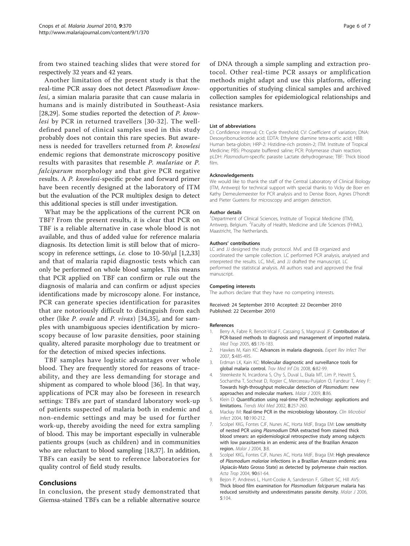<span id="page-5-0"></span>from two stained teaching slides that were stored for respectively 32 years and 42 years.

Another limitation of the present study is that the real-time PCR assay does not detect Plasmodium knowlesi, a simian malaria parasite that can cause malaria in humans and is mainly distributed in Southeast-Asia [[28,29\]](#page-6-0). Some studies reported the detection of P. knowlesi by PCR in returned travellers [[30](#page-6-0)-[32\]](#page-6-0). The welldefined panel of clinical samples used in this study probably does not contain this rare species. But awareness is needed for travellers returned from P. knowlesi endemic regions that demonstrate microscopy positive results with parasites that resemble P. malariae or P. falciparum morphology and that give PCR negative results. A P. knowlesi-specific probe and forward primer have been recently designed at the laboratory of ITM but the evaluation of the PCR multiplex design to detect this additional species is still under investigation.

What may be the applications of the current PCR on TBF? From the present results, it is clear that PCR on TBF is a reliable alternative in case whole blood is not available, and thus of added value for reference malaria diagnosis. Its detection limit is still below that of microscopy in reference settings, *i.e.* close to  $10-50/\mu$  [1,2,[33](#page-6-0)] and that of malaria rapid diagnostic tests which can only be performed on whole blood samples. This means that PCR applied on TBF can confirm or rule out the diagnosis of malaria and can confirm or adjust species identifications made by microscopy alone. For instance, PCR can generate species identification for parasites that are notoriously difficult to distinguish from each other (like P. ovale and P. vivax) [[34,35\]](#page-6-0), and for samples with unambiguous species identification by microscopy because of low parasite densities, poor staining quality, altered parasite morphology due to treatment or for the detection of mixed species infections.

TBF samples have logistic advantages over whole blood. They are frequently stored for reasons of traceability, and they are less demanding for storage and shipment as compared to whole blood [[36\]](#page-6-0). In that way, applications of PCR may also be foreseen in research settings: TBFs are part of standard laboratory work-up of patients suspected of malaria both in endemic and non-endemic settings and may be used for further work-up, thereby avoiding the need for extra sampling of blood. This may be important especially in vulnerable patients groups (such as children) and in communities who are reluctant to blood sampling [[18,37\]](#page-6-0). In addition, TBFs can easily be sent to reference laboratories for quality control of field study results.

## Conclusions

In conclusion, the present study demonstrated that Giemsa-stained TBFs can be a reliable alternative source of DNA through a simple sampling and extraction protocol. Other real-time PCR assays or amplification methods might adapt and use this platform, offering opportunities of studying clinical samples and archived collection samples for epidemiological relationships and resistance markers.

#### List of abbreviations

CI: Confidence interval; Ct: Cycle threshold; CV: Coefficient of variation; DNA: Desoxyribonucleotide acid; EDTA: Ethylene diamine tetra-acetic acid; HBB: Human beta-globin; HRP-2: Histidine-rich protein-2; ITM: Institute of Tropical Medicine; PBS: Phospate buffered saline; PCR: Polymerase chain reaction; pLDH: Plasmodium-specific parasite Lactate dehydrogenase; TBF: Thick blood film.

#### Acknowledgements

We would like to thank the staff of the Central Laboratory of Clinical Biology (ITM, Antwerp) for technical support with special thanks to Vicky de Boer en Kathy Demeulemeester for PCR analysis and to Denise Boon, Agnes D'hondt and Pieter Guetens for microscopy and antigen detection.

#### Author details

<sup>1</sup>Department of Clinical Sciences, Institute of Tropical Medicine (ITM) Antwerp, Belgium. <sup>2</sup> Faculty of Health, Medicine and Life Sciences (FHML), Maastricht, The Netherlands.

#### Authors' contributions

LC and JJ designed the study protocol. MvE and EB organized and coordinated the sample collection. LC performed PCR analysis, analysed and interpreted the results. LC, MvE, and JJ drafted the manuscript. LC performed the statistical analysis. All authors read and approved the final manuscript.

#### Competing interests

The authors declare that they have no competing interests.

#### Received: 24 September 2010 Accepted: 22 December 2010 Published: 22 December 2010

#### References

- 1. Berry A, Fabre R, Benoit-Vical F, Cassaing S, Magnaval JF: Contribution of PCR-based methods to diagnosis and management of imported malaria. Med Trop 2005, 65:176-183.
- 2. Hawkes M, Kain KC: Advances in malaria diagnosis. Expert Rev Infect Ther 2007, 5:485-495.
- 3. Erdman LK, Kain KC: Molecular diagnostic and surveillance tools for global malaria control. Trav Med Inf Dis 2008, 6:82-99.
- 4. Steenkeste N, Incardona S, Chy S, Duval L, Ekala MT, Lim P, Hewitt S Sochantha T, Socheat D, Rogier C, Mercereau-Puijalon O, Fandeur T, Ariey F: [Towards high-throughput molecular detection of](http://www.ncbi.nlm.nih.gov/pubmed/19402894?dopt=Abstract) Plasmodium: new [approaches and molecular markers.](http://www.ncbi.nlm.nih.gov/pubmed/19402894?dopt=Abstract) Malar J 2009, 8:86.
- 5. Klein D: [Quantification using real-time PCR technology: applications and](http://www.ncbi.nlm.nih.gov/pubmed/12067606?dopt=Abstract) [limitations.](http://www.ncbi.nlm.nih.gov/pubmed/12067606?dopt=Abstract) Trends Mol Med 2002, 8:257-260.
- 6. Mackay IM: [Real-time PCR in the microbiology laboratory.](http://www.ncbi.nlm.nih.gov/pubmed/15008940?dopt=Abstract) Clin Microbiol Infect 2004, 10:190-212.
- 7. Scolpel KKG, Fontes CJF, Nunes AC, Horta MdF, Braga EM: [Low sensitivity](http://www.ncbi.nlm.nih.gov/pubmed/15056392?dopt=Abstract) of nested PCR using Plasmodium [DNA extracted from stained thick](http://www.ncbi.nlm.nih.gov/pubmed/15056392?dopt=Abstract) [blood smears: an epidemiological retrospective study among subjects](http://www.ncbi.nlm.nih.gov/pubmed/15056392?dopt=Abstract) [with low parasitaemia in an endemic area of the Brazilian Amazon](http://www.ncbi.nlm.nih.gov/pubmed/15056392?dopt=Abstract) [region.](http://www.ncbi.nlm.nih.gov/pubmed/15056392?dopt=Abstract) Malar J 2004, 3:8.
- 8. Scolpel KKG, Fontes CJF, Nunes AC, Horta MdF, Braga EM: [High prevalence](http://www.ncbi.nlm.nih.gov/pubmed/14739024?dopt=Abstract) of Plasmodium malariae [infections in a Brazilian Amazon endemic area](http://www.ncbi.nlm.nih.gov/pubmed/14739024?dopt=Abstract) [\(Apiacás-Mato Grosso State\) as detected by polymerase chain reaction.](http://www.ncbi.nlm.nih.gov/pubmed/14739024?dopt=Abstract) Acta Trop 2004, 90:61-64.
- 9. Bejon P, Andrews L, Hunt-Cooke A, Sanderson F, Gilbert SC, Hill AVS: [Thick blood film examination for](http://www.ncbi.nlm.nih.gov/pubmed/17092336?dopt=Abstract) Plasmodium falciparum malaria has [reduced sensitivity and underestimates parasite density.](http://www.ncbi.nlm.nih.gov/pubmed/17092336?dopt=Abstract) Malar J 2006, 5:104.